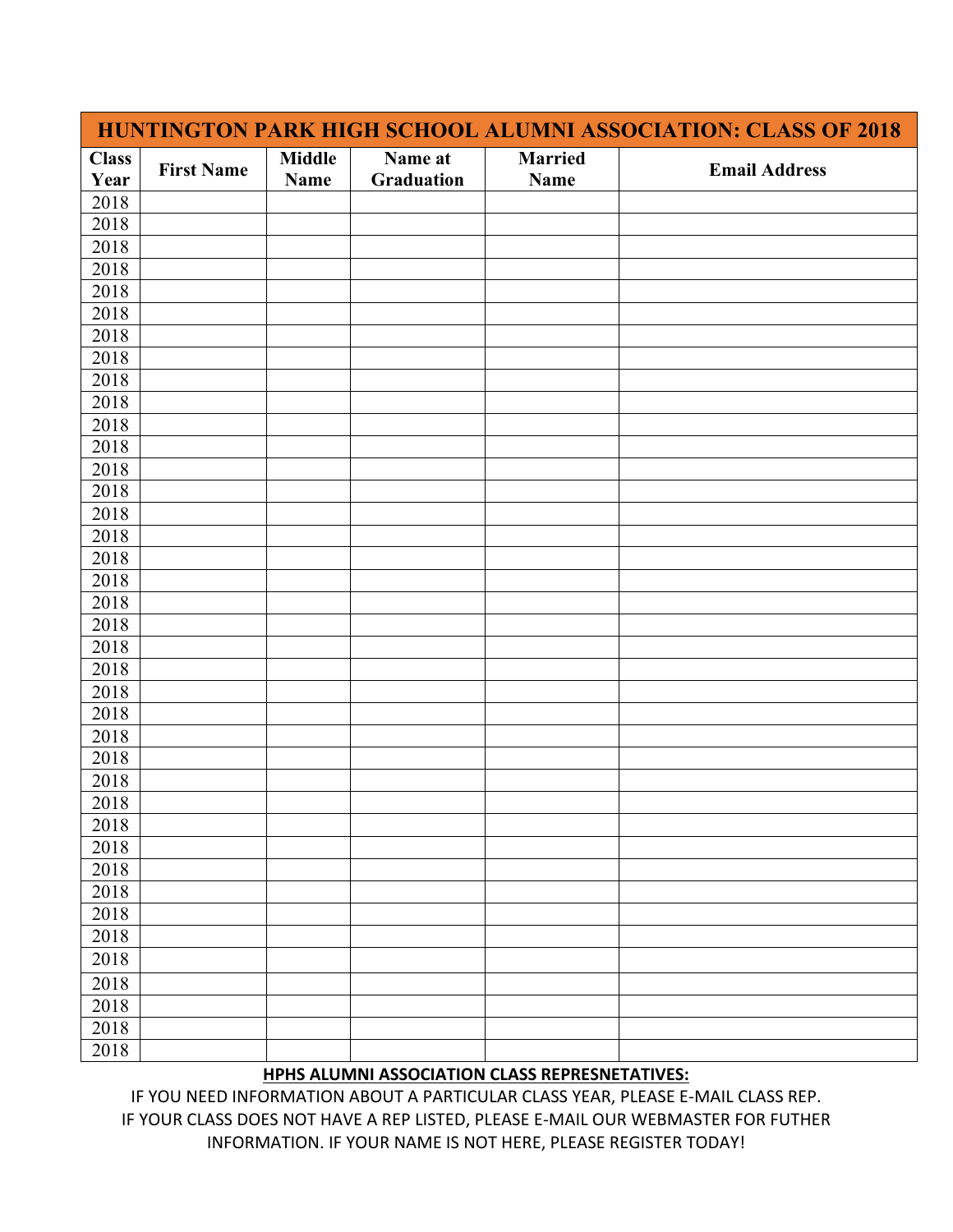| HUNTINGTON PARK HIGH SCHOOL ALUMNI ASSOCIATION: CLASS OF 2018 |                   |                              |                       |                        |                      |  |  |
|---------------------------------------------------------------|-------------------|------------------------------|-----------------------|------------------------|----------------------|--|--|
| <b>Class</b><br>Year                                          | <b>First Name</b> | <b>Middle</b><br><b>Name</b> | Name at<br>Graduation | <b>Married</b><br>Name | <b>Email Address</b> |  |  |
| 2018                                                          |                   |                              |                       |                        |                      |  |  |
| 2018                                                          |                   |                              |                       |                        |                      |  |  |
| 2018                                                          |                   |                              |                       |                        |                      |  |  |
| 2018                                                          |                   |                              |                       |                        |                      |  |  |
| 2018                                                          |                   |                              |                       |                        |                      |  |  |
| 2018                                                          |                   |                              |                       |                        |                      |  |  |
| 2018                                                          |                   |                              |                       |                        |                      |  |  |
| 2018                                                          |                   |                              |                       |                        |                      |  |  |
| 2018                                                          |                   |                              |                       |                        |                      |  |  |
| 2018                                                          |                   |                              |                       |                        |                      |  |  |
| 2018                                                          |                   |                              |                       |                        |                      |  |  |
| 2018                                                          |                   |                              |                       |                        |                      |  |  |
| 2018                                                          |                   |                              |                       |                        |                      |  |  |
| 2018                                                          |                   |                              |                       |                        |                      |  |  |
| 2018                                                          |                   |                              |                       |                        |                      |  |  |
| 2018                                                          |                   |                              |                       |                        |                      |  |  |
| 2018                                                          |                   |                              |                       |                        |                      |  |  |
| 2018                                                          |                   |                              |                       |                        |                      |  |  |
| 2018                                                          |                   |                              |                       |                        |                      |  |  |
| 2018                                                          |                   |                              |                       |                        |                      |  |  |
| 2018                                                          |                   |                              |                       |                        |                      |  |  |
| 2018                                                          |                   |                              |                       |                        |                      |  |  |
| 2018                                                          |                   |                              |                       |                        |                      |  |  |
| 2018                                                          |                   |                              |                       |                        |                      |  |  |
| 2018                                                          |                   |                              |                       |                        |                      |  |  |
| 2018                                                          |                   |                              |                       |                        |                      |  |  |
| 2018                                                          |                   |                              |                       |                        |                      |  |  |
| 2018                                                          |                   |                              |                       |                        |                      |  |  |
| 2018                                                          |                   |                              |                       |                        |                      |  |  |
| 2018                                                          |                   |                              |                       |                        |                      |  |  |
| 2018                                                          |                   |                              |                       |                        |                      |  |  |
| 2018                                                          |                   |                              |                       |                        |                      |  |  |
| 2018                                                          |                   |                              |                       |                        |                      |  |  |
| 2018                                                          |                   |                              |                       |                        |                      |  |  |
| 2018                                                          |                   |                              |                       |                        |                      |  |  |
| 2018                                                          |                   |                              |                       |                        |                      |  |  |
| 2018                                                          |                   |                              |                       |                        |                      |  |  |
| 2018                                                          |                   |                              |                       |                        |                      |  |  |
| 2018                                                          |                   |                              |                       |                        |                      |  |  |

## **HPHS ALUMNI ASSOCIATION CLASS REPRESNETATIVES:**

IF YOU NEED INFORMATION ABOUT A PARTICULAR CLASS YEAR, PLEASE E-MAIL CLASS REP. IF YOUR CLASS DOES NOT HAVE A REP LISTED, PLEASE E-MAIL OUR WEBMASTER FOR FUTHER INFORMATION. IF YOUR NAME IS NOT HERE, PLEASE REGISTER TODAY!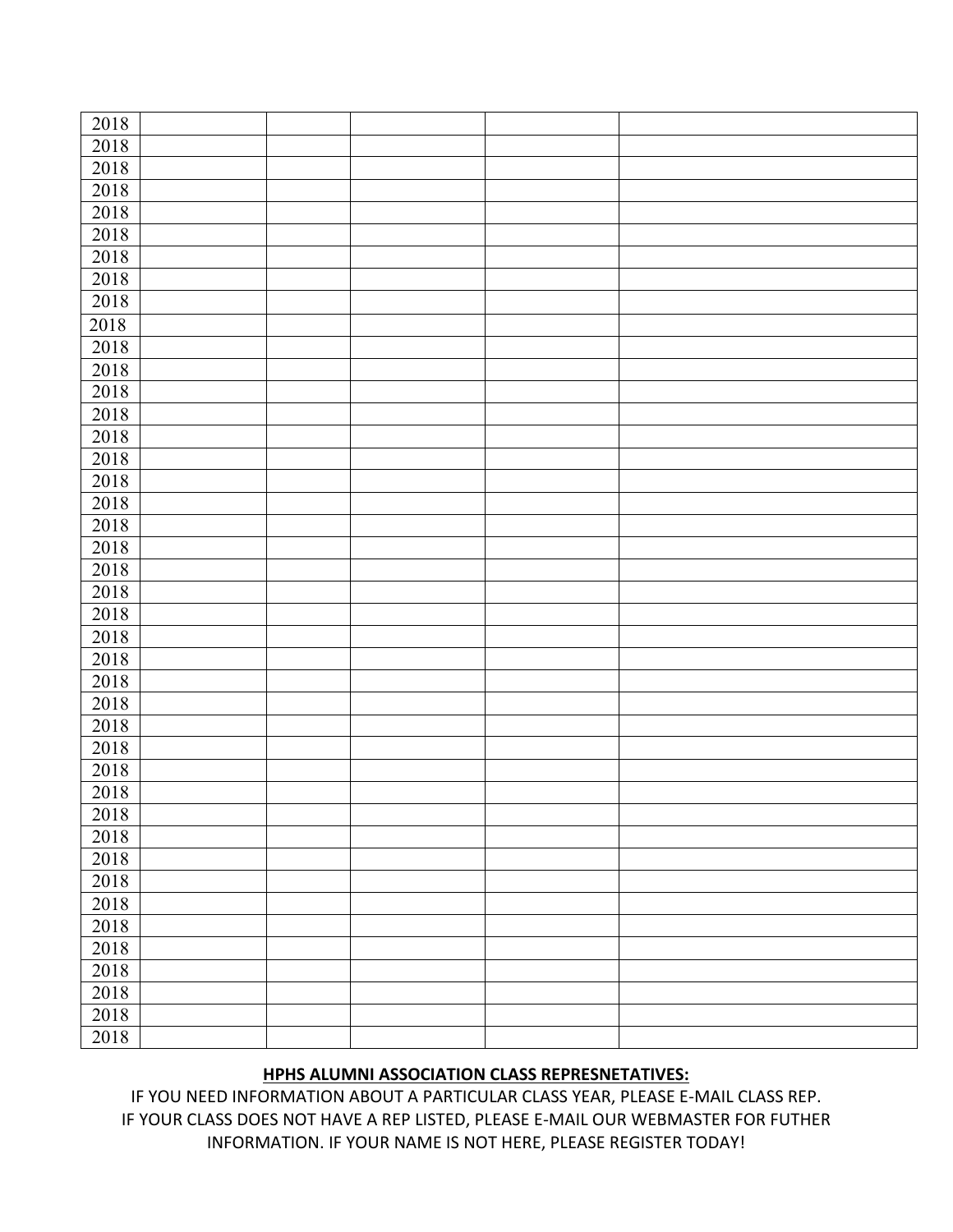| 2018             |  |  |  |
|------------------|--|--|--|
| 2018             |  |  |  |
| 2018             |  |  |  |
| 2018             |  |  |  |
| 2018             |  |  |  |
| 2018             |  |  |  |
| 2018             |  |  |  |
| 2018             |  |  |  |
| 2018             |  |  |  |
| 2018             |  |  |  |
| 2018             |  |  |  |
| 2018             |  |  |  |
|                  |  |  |  |
| 2018             |  |  |  |
| 2018             |  |  |  |
| 2018             |  |  |  |
| 2018             |  |  |  |
| 2018             |  |  |  |
| 2018             |  |  |  |
| 2018             |  |  |  |
| $\frac{2018}{ }$ |  |  |  |
| 2018             |  |  |  |
| 2018             |  |  |  |
| 2018             |  |  |  |
| 2018             |  |  |  |
| 2018             |  |  |  |
| 2018             |  |  |  |
| 2018             |  |  |  |
| 2018             |  |  |  |
| 2018             |  |  |  |
| 2018             |  |  |  |
| 2018             |  |  |  |
| 2018             |  |  |  |
| 2018             |  |  |  |
| 2018             |  |  |  |
| 2018             |  |  |  |
| 2018             |  |  |  |
| 2018             |  |  |  |
| 2018             |  |  |  |
| 2018             |  |  |  |
| 2018             |  |  |  |
| 2018             |  |  |  |
|                  |  |  |  |
| 2018             |  |  |  |

## **HPHS ALUMNI ASSOCIATION CLASS REPRESNETATIVES:**

IF YOU NEED INFORMATION ABOUT A PARTICULAR CLASS YEAR, PLEASE E-MAIL CLASS REP. IF YOUR CLASS DOES NOT HAVE A REP LISTED, PLEASE E-MAIL OUR WEBMASTER FOR FUTHER INFORMATION. IF YOUR NAME IS NOT HERE, PLEASE REGISTER TODAY!